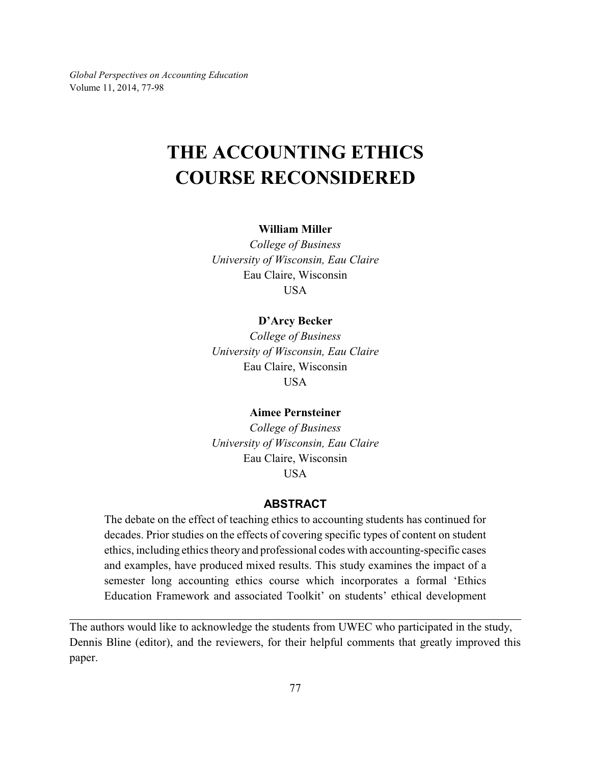*Global Perspectives on Accounting Education* Volume 11, 2014, 77-98

# **THE ACCOUNTING ETHICS COURSE RECONSIDERED**

#### **William Miller**

*College of Business University of Wisconsin, Eau Claire* Eau Claire, Wisconsin USA

#### **D'Arcy Becker**

*College of Business University of Wisconsin, Eau Claire* Eau Claire, Wisconsin USA

#### **Aimee Pernsteiner**

*College of Business University of Wisconsin, Eau Claire* Eau Claire, Wisconsin USA

# **ABSTRACT**

The debate on the effect of teaching ethics to accounting students has continued for decades. Prior studies on the effects of covering specific types of content on student ethics, including ethics theory and professional codes with accounting-specific cases and examples, have produced mixed results. This study examines the impact of a semester long accounting ethics course which incorporates a formal 'Ethics Education Framework and associated Toolkit' on students' ethical development

The authors would like to acknowledge the students from UWEC who participated in the study, Dennis Bline (editor), and the reviewers, for their helpful comments that greatly improved this paper.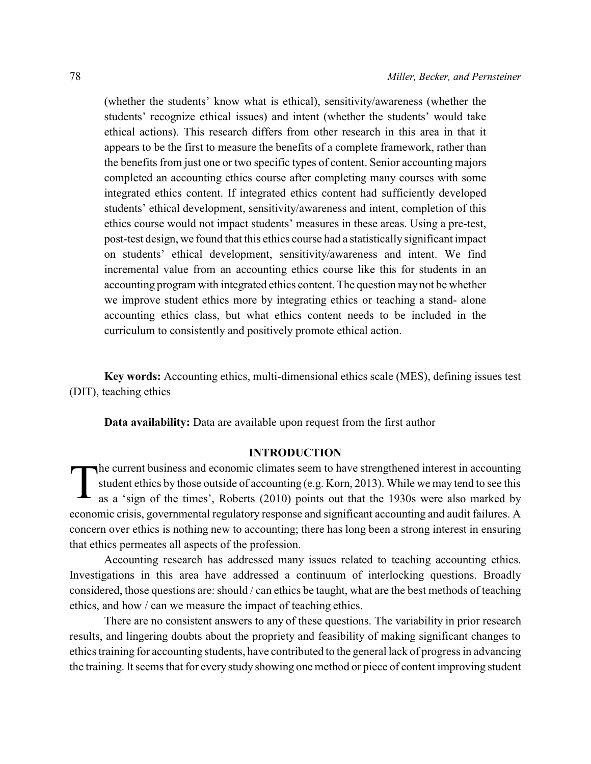(whether the students' know what is ethical), sensitivity/awareness (whether the students' recognize ethical issues) and intent (whether the students' would take ethical actions). This research differs from other research in this area in that it appears to be the first to measure the benefits of a complete framework, rather than the benefits from just one or two specific types of content. Senior accounting majors completed an accounting ethics course after completing many courses with some integrated ethics content. If integrated ethics content had sufficiently developed students' ethical development, sensitivity/awareness and intent, completion of this ethics course would not impact students' measures in these areas. Using a pre-test, post-test design, we found that this ethics course had a statistically significant impact on students' ethical development, sensitivity/awareness and intent. We find incremental value from an accounting ethics course like this for students in an accounting program with integrated ethics content. The question may not be whether we improve student ethics more by integrating ethics or teaching a stand- alone accounting ethics class, but what ethics content needs to be included in the curriculum to consistently and positively promote ethical action.

**Key words:** Accounting ethics, multi-dimensional ethics scale (MES), defining issues test (DIT), teaching ethics

**Data availability:** Data are available upon request from the first author

## **INTRODUCTION**

T he current business and economic climates seem to have strengthened interest in accounting student ethics by those outside of accounting (e.g. Korn, 2013). While we may tend to see this as a 'sign of the times', Roberts (2010) points out that the 1930s were also marked by economic crisis, governmental regulatory response and significant accounting and audit failures. A concern over ethics is nothing new to accounting; there has long been a strong interest in ensuring that ethics permeates all aspects of the profession.

Accounting research has addressed many issues related to teaching accounting ethics. Investigations in this area have addressed a continuum of interlocking questions. Broadly considered, those questions are: should / can ethics be taught, what are the best methods of teaching ethics, and how / can we measure the impact of teaching ethics.

There are no consistent answers to any of these questions. The variability in prior research results, and lingering doubts about the propriety and feasibility of making significant changes to ethics training for accounting students, have contributed to the general lack of progress in advancing the training. It seems that for every study showing one method or piece of content improving student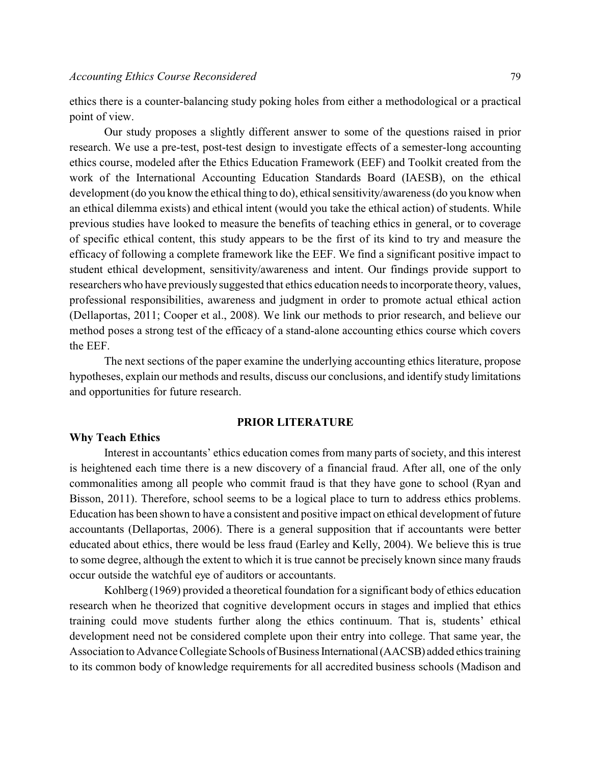ethics there is a counter-balancing study poking holes from either a methodological or a practical point of view.

Our study proposes a slightly different answer to some of the questions raised in prior research. We use a pre-test, post-test design to investigate effects of a semester-long accounting ethics course, modeled after the Ethics Education Framework (EEF) and Toolkit created from the work of the International Accounting Education Standards Board (IAESB), on the ethical development (do you know the ethical thing to do), ethical sensitivity/awareness (do you know when an ethical dilemma exists) and ethical intent (would you take the ethical action) of students. While previous studies have looked to measure the benefits of teaching ethics in general, or to coverage of specific ethical content, this study appears to be the first of its kind to try and measure the efficacy of following a complete framework like the EEF. We find a significant positive impact to student ethical development, sensitivity/awareness and intent. Our findings provide support to researchers who have previously suggested that ethics education needs to incorporate theory, values, professional responsibilities, awareness and judgment in order to promote actual ethical action (Dellaportas, 2011; Cooper et al., 2008). We link our methods to prior research, and believe our method poses a strong test of the efficacy of a stand-alone accounting ethics course which covers the EEF.

The next sections of the paper examine the underlying accounting ethics literature, propose hypotheses, explain our methods and results, discuss our conclusions, and identify study limitations and opportunities for future research.

#### **PRIOR LITERATURE**

#### **Why Teach Ethics**

Interest in accountants' ethics education comes from many parts of society, and this interest is heightened each time there is a new discovery of a financial fraud. After all, one of the only commonalities among all people who commit fraud is that they have gone to school (Ryan and Bisson, 2011). Therefore, school seems to be a logical place to turn to address ethics problems. Education has been shown to have a consistent and positive impact on ethical development of future accountants (Dellaportas, 2006). There is a general supposition that if accountants were better educated about ethics, there would be less fraud (Earley and Kelly, 2004). We believe this is true to some degree, although the extent to which it is true cannot be precisely known since many frauds occur outside the watchful eye of auditors or accountants.

Kohlberg (1969) provided a theoretical foundation for a significant body of ethics education research when he theorized that cognitive development occurs in stages and implied that ethics training could move students further along the ethics continuum. That is, students' ethical development need not be considered complete upon their entry into college. That same year, the Association to Advance Collegiate Schools of Business International (AACSB) added ethics training to its common body of knowledge requirements for all accredited business schools (Madison and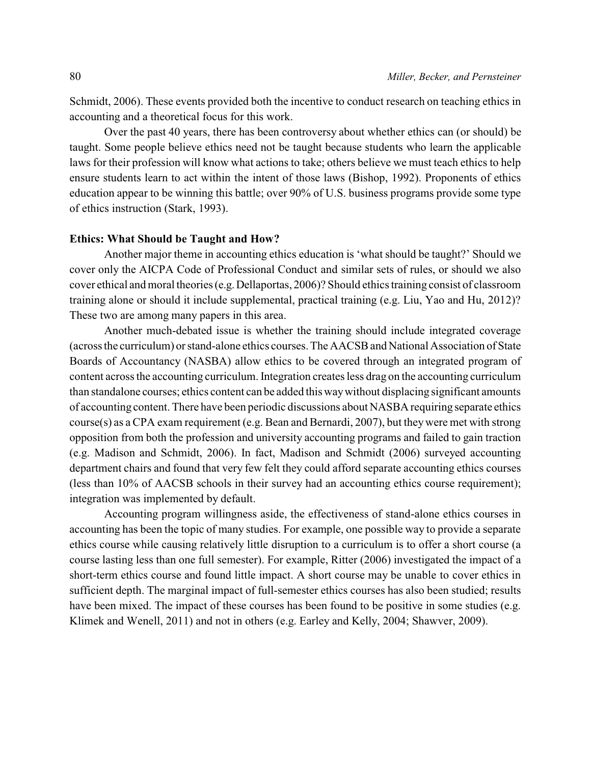Schmidt, 2006). These events provided both the incentive to conduct research on teaching ethics in accounting and a theoretical focus for this work.

Over the past 40 years, there has been controversy about whether ethics can (or should) be taught. Some people believe ethics need not be taught because students who learn the applicable laws for their profession will know what actions to take; others believe we must teach ethics to help ensure students learn to act within the intent of those laws (Bishop, 1992). Proponents of ethics education appear to be winning this battle; over 90% of U.S. business programs provide some type of ethics instruction (Stark, 1993).

#### **Ethics: What Should be Taught and How?**

Another major theme in accounting ethics education is 'what should be taught?' Should we cover only the AICPA Code of Professional Conduct and similar sets of rules, or should we also cover ethical and moral theories (e.g.Dellaportas, 2006)? Should ethics training consist of classroom training alone or should it include supplemental, practical training (e.g. Liu, Yao and Hu, 2012)? These two are among many papers in this area.

Another much-debated issue is whether the training should include integrated coverage (across the curriculum) or stand-alone ethics courses. The AACSBand National Association of State Boards of Accountancy (NASBA) allow ethics to be covered through an integrated program of content across the accounting curriculum. Integration creates less drag on the accounting curriculum than standalone courses; ethics content can be added this waywithout displacing significant amounts of accounting content. There have been periodic discussions about NASBA requiring separate ethics course(s) as a CPA exam requirement (e.g. Bean and Bernardi, 2007), but theywere met with strong opposition from both the profession and university accounting programs and failed to gain traction (e.g. Madison and Schmidt, 2006). In fact, Madison and Schmidt (2006) surveyed accounting department chairs and found that very few felt they could afford separate accounting ethics courses (less than 10% of AACSB schools in their survey had an accounting ethics course requirement); integration was implemented by default.

Accounting program willingness aside, the effectiveness of stand-alone ethics courses in accounting has been the topic of many studies. For example, one possible way to provide a separate ethics course while causing relatively little disruption to a curriculum is to offer a short course (a course lasting less than one full semester). For example, Ritter (2006) investigated the impact of a short-term ethics course and found little impact. A short course may be unable to cover ethics in sufficient depth. The marginal impact of full-semester ethics courses has also been studied; results have been mixed. The impact of these courses has been found to be positive in some studies (e.g. Klimek and Wenell, 2011) and not in others (e.g. Earley and Kelly, 2004; Shawver, 2009).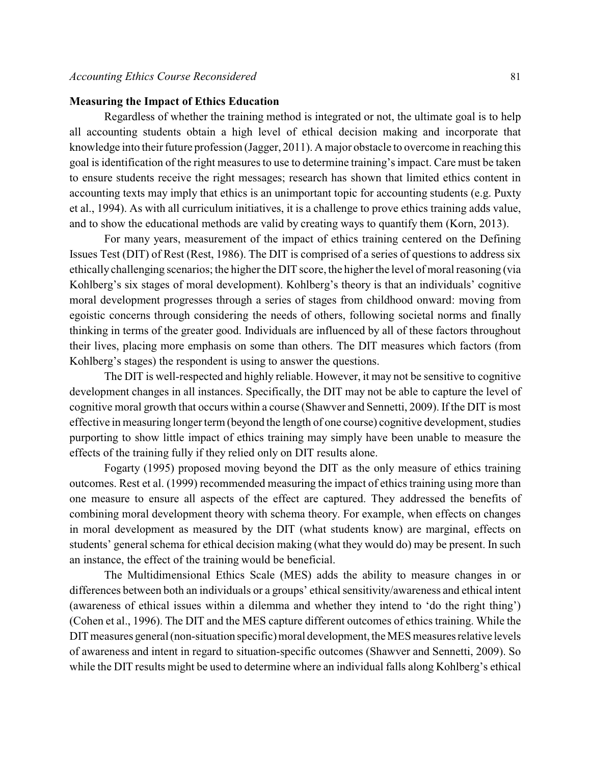## **Measuring the Impact of Ethics Education**

Regardless of whether the training method is integrated or not, the ultimate goal is to help all accounting students obtain a high level of ethical decision making and incorporate that knowledge into their future profession (Jagger, 2011). A major obstacle to overcome in reaching this goal is identification of the right measures to use to determine training's impact. Care must be taken to ensure students receive the right messages; research has shown that limited ethics content in accounting texts may imply that ethics is an unimportant topic for accounting students (e.g. Puxty et al., 1994). As with all curriculum initiatives, it is a challenge to prove ethics training adds value, and to show the educational methods are valid by creating ways to quantify them (Korn, 2013).

For many years, measurement of the impact of ethics training centered on the Defining Issues Test (DIT) of Rest (Rest, 1986). The DIT is comprised of a series of questions to address six ethically challenging scenarios; the higher the DIT score, the higher the level of moral reasoning (via Kohlberg's six stages of moral development). Kohlberg's theory is that an individuals' cognitive moral development progresses through a series of stages from childhood onward: moving from egoistic concerns through considering the needs of others, following societal norms and finally thinking in terms of the greater good. Individuals are influenced by all of these factors throughout their lives, placing more emphasis on some than others. The DIT measures which factors (from Kohlberg's stages) the respondent is using to answer the questions.

The DIT is well-respected and highly reliable. However, it may not be sensitive to cognitive development changes in all instances. Specifically, the DIT may not be able to capture the level of cognitive moral growth that occurs within a course (Shawver and Sennetti, 2009). If the DIT is most effective in measuring longer term (beyond the length of one course) cognitive development, studies purporting to show little impact of ethics training may simply have been unable to measure the effects of the training fully if they relied only on DIT results alone.

Fogarty (1995) proposed moving beyond the DIT as the only measure of ethics training outcomes. Rest et al. (1999) recommended measuring the impact of ethics training using more than one measure to ensure all aspects of the effect are captured. They addressed the benefits of combining moral development theory with schema theory. For example, when effects on changes in moral development as measured by the DIT (what students know) are marginal, effects on students' general schema for ethical decision making (what they would do) may be present. In such an instance, the effect of the training would be beneficial.

The Multidimensional Ethics Scale (MES) adds the ability to measure changes in or differences between both an individuals or a groups' ethical sensitivity/awareness and ethical intent (awareness of ethical issues within a dilemma and whether they intend to 'do the right thing') (Cohen et al., 1996). The DIT and the MES capture different outcomes of ethics training. While the DIT measures general (non-situation specific) moral development, the MES measures relative levels of awareness and intent in regard to situation-specific outcomes (Shawver and Sennetti, 2009). So while the DIT results might be used to determine where an individual falls along Kohlberg's ethical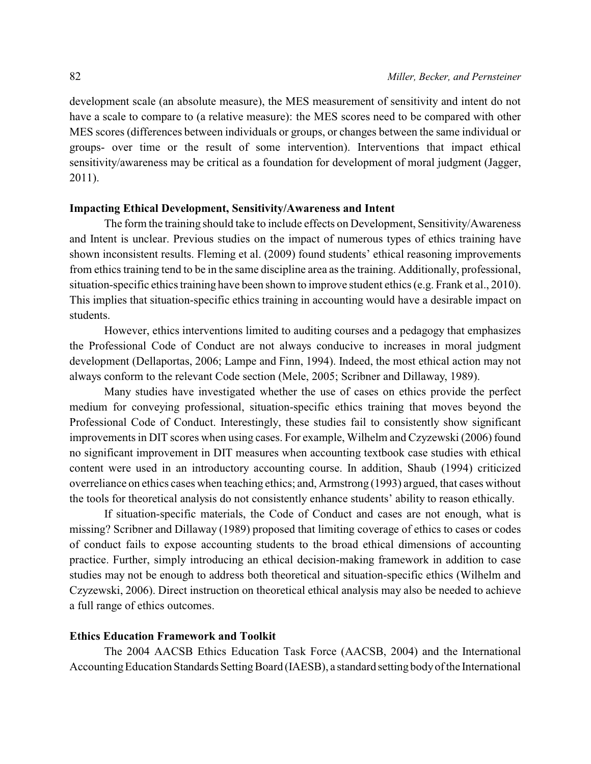development scale (an absolute measure), the MES measurement of sensitivity and intent do not have a scale to compare to (a relative measure): the MES scores need to be compared with other MES scores (differences between individuals or groups, or changes between the same individual or groups- over time or the result of some intervention). Interventions that impact ethical sensitivity/awareness may be critical as a foundation for development of moral judgment (Jagger, 2011).

## **Impacting Ethical Development, Sensitivity/Awareness and Intent**

The form the training should take to include effects on Development, Sensitivity/Awareness and Intent is unclear. Previous studies on the impact of numerous types of ethics training have shown inconsistent results. Fleming et al. (2009) found students' ethical reasoning improvements from ethics training tend to be in the same discipline area as the training. Additionally, professional, situation-specific ethics training have been shown to improve student ethics (e.g. Frank et al., 2010). This implies that situation-specific ethics training in accounting would have a desirable impact on students.

However, ethics interventions limited to auditing courses and a pedagogy that emphasizes the Professional Code of Conduct are not always conducive to increases in moral judgment development (Dellaportas, 2006; Lampe and Finn, 1994). Indeed, the most ethical action may not always conform to the relevant Code section (Mele, 2005; Scribner and Dillaway, 1989).

Many studies have investigated whether the use of cases on ethics provide the perfect medium for conveying professional, situation-specific ethics training that moves beyond the Professional Code of Conduct. Interestingly, these studies fail to consistently show significant improvements in DIT scores when using cases. For example, Wilhelm and Czyzewski (2006) found no significant improvement in DIT measures when accounting textbook case studies with ethical content were used in an introductory accounting course. In addition, Shaub (1994) criticized overreliance on ethics cases when teaching ethics; and, Armstrong (1993) argued, that cases without the tools for theoretical analysis do not consistently enhance students' ability to reason ethically.

If situation-specific materials, the Code of Conduct and cases are not enough, what is missing? Scribner and Dillaway (1989) proposed that limiting coverage of ethics to cases or codes of conduct fails to expose accounting students to the broad ethical dimensions of accounting practice. Further, simply introducing an ethical decision-making framework in addition to case studies may not be enough to address both theoretical and situation-specific ethics (Wilhelm and Czyzewski, 2006). Direct instruction on theoretical ethical analysis may also be needed to achieve a full range of ethics outcomes.

## **Ethics Education Framework and Toolkit**

The 2004 AACSB Ethics Education Task Force (AACSB, 2004) and the International Accounting Education Standards Setting Board (IAESB), a standard setting body of the International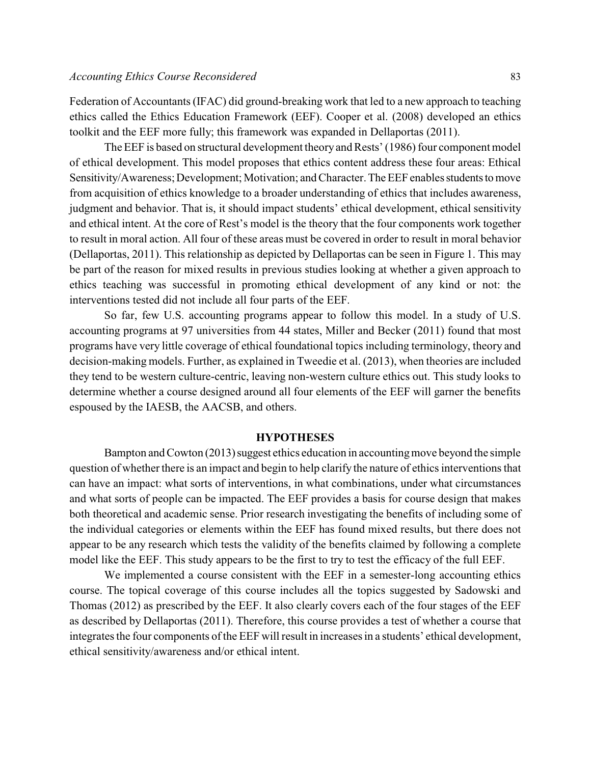Federation of Accountants (IFAC) did ground-breaking work that led to a new approach to teaching ethics called the Ethics Education Framework (EEF). Cooper et al. (2008) developed an ethics toolkit and the EEF more fully; this framework was expanded in Dellaportas (2011).

The EEF is based on structural development theory and Rests' (1986) four component model of ethical development. This model proposes that ethics content address these four areas: Ethical Sensitivity/Awareness; Development; Motivation; and Character. The EEF enables students to move from acquisition of ethics knowledge to a broader understanding of ethics that includes awareness, judgment and behavior. That is, it should impact students' ethical development, ethical sensitivity and ethical intent. At the core of Rest's model is the theory that the four components work together to result in moral action. All four of these areas must be covered in order to result in moral behavior (Dellaportas, 2011). This relationship as depicted by Dellaportas can be seen in Figure 1. This may be part of the reason for mixed results in previous studies looking at whether a given approach to ethics teaching was successful in promoting ethical development of any kind or not: the interventions tested did not include all four parts of the EEF.

So far, few U.S. accounting programs appear to follow this model. In a study of U.S. accounting programs at 97 universities from 44 states, Miller and Becker (2011) found that most programs have very little coverage of ethical foundational topics including terminology, theory and decision-making models. Further, as explained in Tweedie et al. (2013), when theories are included they tend to be western culture-centric, leaving non-western culture ethics out. This study looks to determine whether a course designed around all four elements of the EEF will garner the benefits espoused by the IAESB, the AACSB, and others.

#### **HYPOTHESES**

Bampton and Cowton (2013) suggest ethics education in accounting move beyond the simple question of whether there is an impact and begin to help clarify the nature of ethics interventions that can have an impact: what sorts of interventions, in what combinations, under what circumstances and what sorts of people can be impacted. The EEF provides a basis for course design that makes both theoretical and academic sense. Prior research investigating the benefits of including some of the individual categories or elements within the EEF has found mixed results, but there does not appear to be any research which tests the validity of the benefits claimed by following a complete model like the EEF. This study appears to be the first to try to test the efficacy of the full EEF.

We implemented a course consistent with the EEF in a semester-long accounting ethics course. The topical coverage of this course includes all the topics suggested by Sadowski and Thomas (2012) as prescribed by the EEF. It also clearly covers each of the four stages of the EEF as described by Dellaportas (2011). Therefore, this course provides a test of whether a course that integrates the four components of the EEF will result in increases in a students' ethical development, ethical sensitivity/awareness and/or ethical intent.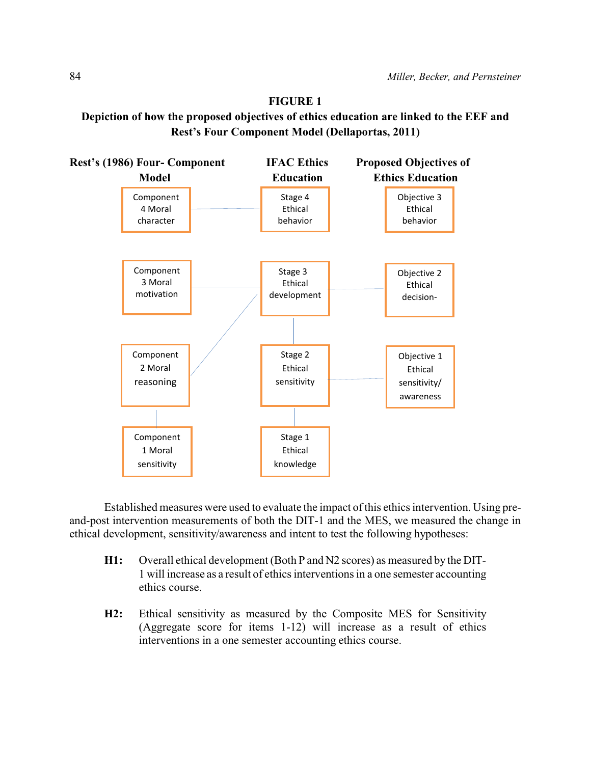# **FIGURE 1 Depiction of how the proposed objectives of ethics education are linked to the EEF and Rest's Four Component Model (Dellaportas, 2011)**



Established measures were used to evaluate the impact of this ethics intervention. Using preand-post intervention measurements of both the DIT-1 and the MES, we measured the change in ethical development, sensitivity/awareness and intent to test the following hypotheses:

- **H1:** Overall ethical development (Both P and N2 scores) as measured by the DIT-1 will increase as a result of ethics interventions in a one semester accounting ethics course.
- **H2:** Ethical sensitivity as measured by the Composite MES for Sensitivity (Aggregate score for items 1-12) will increase as a result of ethics interventions in a one semester accounting ethics course.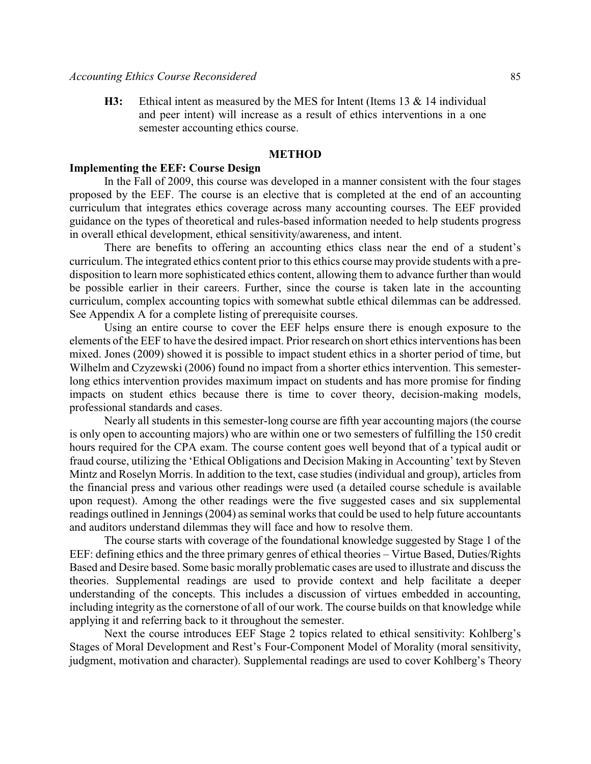**H3:** Ethical intent as measured by the MES for Intent (Items 13 & 14 individual and peer intent) will increase as a result of ethics interventions in a one semester accounting ethics course.

#### **METHOD**

# **Implementing the EEF: Course Design**

In the Fall of 2009, this course was developed in a manner consistent with the four stages proposed by the EEF. The course is an elective that is completed at the end of an accounting curriculum that integrates ethics coverage across many accounting courses. The EEF provided guidance on the types of theoretical and rules-based information needed to help students progress in overall ethical development, ethical sensitivity/awareness, and intent.

There are benefits to offering an accounting ethics class near the end of a student's curriculum. The integrated ethics content prior to this ethics course may provide students with a predisposition to learn more sophisticated ethics content, allowing them to advance further than would be possible earlier in their careers. Further, since the course is taken late in the accounting curriculum, complex accounting topics with somewhat subtle ethical dilemmas can be addressed. See Appendix A for a complete listing of prerequisite courses.

Using an entire course to cover the EEF helps ensure there is enough exposure to the elements of the EEF to have the desired impact. Prior research on short ethics interventions has been mixed. Jones (2009) showed it is possible to impact student ethics in a shorter period of time, but Wilhelm and Czyzewski (2006) found no impact from a shorter ethics intervention. This semesterlong ethics intervention provides maximum impact on students and has more promise for finding impacts on student ethics because there is time to cover theory, decision-making models, professional standards and cases.

Nearly all students in this semester-long course are fifth year accounting majors (the course is only open to accounting majors) who are within one or two semesters of fulfilling the 150 credit hours required for the CPA exam. The course content goes well beyond that of a typical audit or fraud course, utilizing the 'Ethical Obligations and Decision Making in Accounting' text by Steven Mintz and Roselyn Morris. In addition to the text, case studies (individual and group), articles from the financial press and various other readings were used (a detailed course schedule is available upon request). Among the other readings were the five suggested cases and six supplemental readings outlined in Jennings (2004) as seminal works that could be used to help future accountants and auditors understand dilemmas they will face and how to resolve them.

The course starts with coverage of the foundational knowledge suggested by Stage 1 of the EEF: defining ethics and the three primary genres of ethical theories – Virtue Based, Duties/Rights Based and Desire based. Some basic morally problematic cases are used to illustrate and discuss the theories. Supplemental readings are used to provide context and help facilitate a deeper understanding of the concepts. This includes a discussion of virtues embedded in accounting, including integrity as the cornerstone of all of our work. The course builds on that knowledge while applying it and referring back to it throughout the semester.

Next the course introduces EEF Stage 2 topics related to ethical sensitivity: Kohlberg's Stages of Moral Development and Rest's Four-Component Model of Morality (moral sensitivity, judgment, motivation and character). Supplemental readings are used to cover Kohlberg's Theory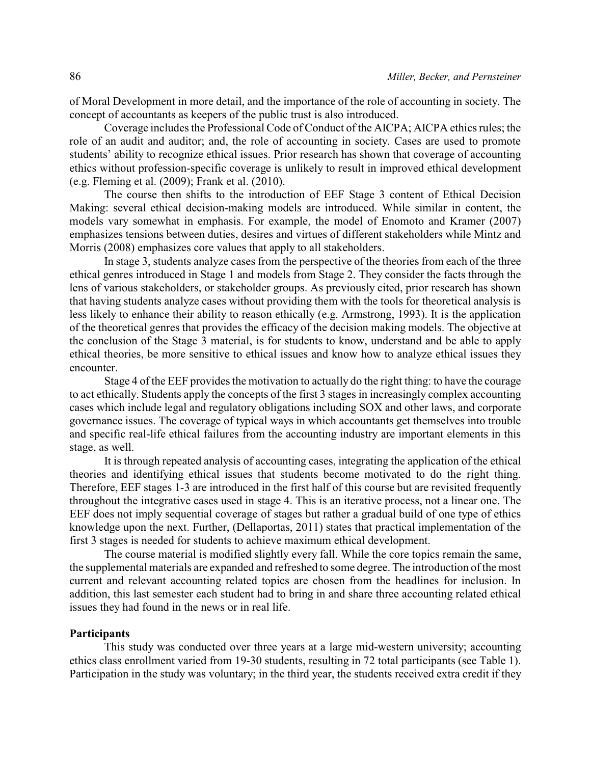of Moral Development in more detail, and the importance of the role of accounting in society. The concept of accountants as keepers of the public trust is also introduced.

Coverage includes the Professional Code of Conduct of the AICPA; AICPA ethics rules; the role of an audit and auditor; and, the role of accounting in society. Cases are used to promote students' ability to recognize ethical issues. Prior research has shown that coverage of accounting ethics without profession-specific coverage is unlikely to result in improved ethical development (e.g. Fleming et al. (2009); Frank et al. (2010).

The course then shifts to the introduction of EEF Stage 3 content of Ethical Decision Making: several ethical decision-making models are introduced. While similar in content, the models vary somewhat in emphasis. For example, the model of Enomoto and Kramer (2007) emphasizes tensions between duties, desires and virtues of different stakeholders while Mintz and Morris (2008) emphasizes core values that apply to all stakeholders.

In stage 3, students analyze cases from the perspective of the theories from each of the three ethical genres introduced in Stage 1 and models from Stage 2. They consider the facts through the lens of various stakeholders, or stakeholder groups. As previously cited, prior research has shown that having students analyze cases without providing them with the tools for theoretical analysis is less likely to enhance their ability to reason ethically (e.g. Armstrong, 1993). It is the application of the theoretical genres that provides the efficacy of the decision making models. The objective at the conclusion of the Stage 3 material, is for students to know, understand and be able to apply ethical theories, be more sensitive to ethical issues and know how to analyze ethical issues they encounter.

Stage 4 of the EEF provides the motivation to actually do the right thing: to have the courage to act ethically. Students apply the concepts of the first 3 stages in increasingly complex accounting cases which include legal and regulatory obligations including SOX and other laws, and corporate governance issues. The coverage of typical ways in which accountants get themselves into trouble and specific real-life ethical failures from the accounting industry are important elements in this stage, as well.

It is through repeated analysis of accounting cases, integrating the application of the ethical theories and identifying ethical issues that students become motivated to do the right thing. Therefore, EEF stages 1-3 are introduced in the first half of this course but are revisited frequently throughout the integrative cases used in stage 4. This is an iterative process, not a linear one. The EEF does not imply sequential coverage of stages but rather a gradual build of one type of ethics knowledge upon the next. Further, (Dellaportas, 2011) states that practical implementation of the first 3 stages is needed for students to achieve maximum ethical development.

The course material is modified slightly every fall. While the core topics remain the same, the supplemental materials are expanded and refreshed to some degree. The introduction of the most current and relevant accounting related topics are chosen from the headlines for inclusion. In addition, this last semester each student had to bring in and share three accounting related ethical issues they had found in the news or in real life.

#### **Participants**

This study was conducted over three years at a large mid-western university; accounting ethics class enrollment varied from 19-30 students, resulting in 72 total participants (see Table 1). Participation in the study was voluntary; in the third year, the students received extra credit if they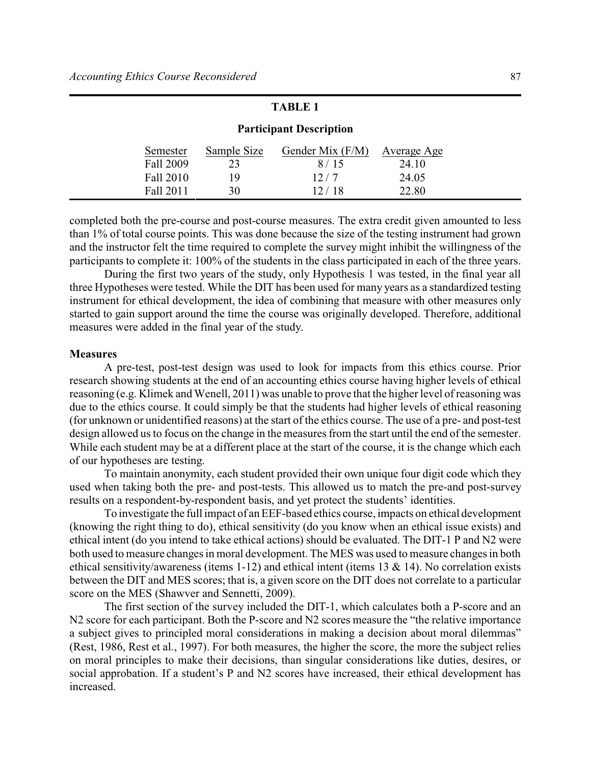# **TABLE 1**

| Semester  | Sample Size | Gender Mix $(F/M)$ | Average Age |
|-----------|-------------|--------------------|-------------|
| Fall 2009 |             | 8/15               | 24.10       |
| Fall 2010 | 19          | 12/7               | 24.05       |
| Fall 2011 | 30          | 12/18              | 22.80       |

# **Participant Description**

completed both the pre-course and post-course measures. The extra credit given amounted to less than 1% of total course points. This was done because the size of the testing instrument had grown and the instructor felt the time required to complete the survey might inhibit the willingness of the participants to complete it: 100% of the students in the class participated in each of the three years.

During the first two years of the study, only Hypothesis 1 was tested, in the final year all three Hypotheses were tested. While the DIT has been used for many years as a standardized testing instrument for ethical development, the idea of combining that measure with other measures only started to gain support around the time the course was originally developed. Therefore, additional measures were added in the final year of the study.

#### **Measures**

A pre-test, post-test design was used to look for impacts from this ethics course. Prior research showing students at the end of an accounting ethics course having higher levels of ethical reasoning (e.g. Klimek and Wenell, 2011) was unable to prove that the higher level of reasoning was due to the ethics course. It could simply be that the students had higher levels of ethical reasoning (for unknown or unidentified reasons) at the start of the ethics course. The use of a pre- and post-test design allowed us to focus on the change in the measures from the start until the end of the semester. While each student may be at a different place at the start of the course, it is the change which each of our hypotheses are testing.

To maintain anonymity, each student provided their own unique four digit code which they used when taking both the pre- and post-tests. This allowed us to match the pre-and post-survey results on a respondent-by-respondent basis, and yet protect the students' identities.

To investigate the full impact of an EEF-based ethics course, impacts on ethical development (knowing the right thing to do), ethical sensitivity (do you know when an ethical issue exists) and ethical intent (do you intend to take ethical actions) should be evaluated. The DIT-1 P and N2 were both used to measure changes in moral development. The MES was used to measure changes in both ethical sensitivity/awareness (items 1-12) and ethical intent (items 13  $\&$  14). No correlation exists between the DIT and MES scores; that is, a given score on the DIT does not correlate to a particular score on the MES (Shawver and Sennetti, 2009).

The first section of the survey included the DIT-1, which calculates both a P-score and an N2 score for each participant. Both the P-score and N2 scores measure the "the relative importance" a subject gives to principled moral considerations in making a decision about moral dilemmas" (Rest, 1986, Rest et al., 1997). For both measures, the higher the score, the more the subject relies on moral principles to make their decisions, than singular considerations like duties, desires, or social approbation. If a student's P and N2 scores have increased, their ethical development has increased.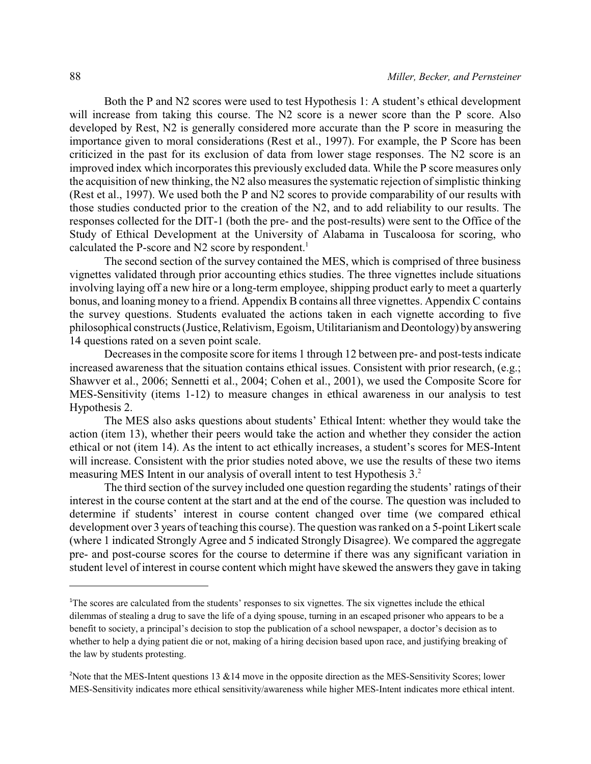Both the P and N2 scores were used to test Hypothesis 1: A student's ethical development will increase from taking this course. The N2 score is a newer score than the P score. Also developed by Rest, N2 is generally considered more accurate than the P score in measuring the importance given to moral considerations (Rest et al., 1997). For example, the P Score has been criticized in the past for its exclusion of data from lower stage responses. The N2 score is an improved index which incorporates this previously excluded data. While the P score measures only the acquisition of new thinking, the N2 also measures the systematic rejection of simplistic thinking (Rest et al., 1997). We used both the P and N2 scores to provide comparability of our results with those studies conducted prior to the creation of the N2, and to add reliability to our results. The responses collected for the DIT-1 (both the pre- and the post-results) were sent to the Office of the Study of Ethical Development at the University of Alabama in Tuscaloosa for scoring, who calculated the P-score and N2 score by respondent.<sup>1</sup>

The second section of the survey contained the MES, which is comprised of three business vignettes validated through prior accounting ethics studies. The three vignettes include situations involving laying off a new hire or a long-term employee, shipping product early to meet a quarterly bonus, and loaning money to a friend. Appendix B contains all three vignettes. Appendix C contains the survey questions. Students evaluated the actions taken in each vignette according to five philosophical constructs (Justice, Relativism, Egoism, Utilitarianism and Deontology) by answering 14 questions rated on a seven point scale.

Decreases in the composite score for items 1 through 12 between pre- and post-tests indicate increased awareness that the situation contains ethical issues. Consistent with prior research, (e.g.; Shawver et al., 2006; Sennetti et al., 2004; Cohen et al., 2001), we used the Composite Score for MES-Sensitivity (items 1-12) to measure changes in ethical awareness in our analysis to test Hypothesis 2.

The MES also asks questions about students' Ethical Intent: whether they would take the action (item 13), whether their peers would take the action and whether they consider the action ethical or not (item 14). As the intent to act ethically increases, a student's scores for MES-Intent will increase. Consistent with the prior studies noted above, we use the results of these two items measuring MES Intent in our analysis of overall intent to test Hypothesis 3.<sup>2</sup>

The third section of the survey included one question regarding the students' ratings of their interest in the course content at the start and at the end of the course. The question was included to determine if students' interest in course content changed over time (we compared ethical development over 3 years of teaching this course). The question was ranked on a 5-point Likert scale (where 1 indicated Strongly Agree and 5 indicated Strongly Disagree). We compared the aggregate pre- and post-course scores for the course to determine if there was any significant variation in student level of interest in course content which might have skewed the answers they gave in taking

<sup>&</sup>lt;sup>1</sup>The scores are calculated from the students' responses to six vignettes. The six vignettes include the ethical dilemmas of stealing a drug to save the life of a dying spouse, turning in an escaped prisoner who appears to be a benefit to society, a principal's decision to stop the publication of a school newspaper, a doctor's decision as to whether to help a dying patient die or not, making of a hiring decision based upon race, and justifying breaking of the law by students protesting.

<sup>&</sup>lt;sup>2</sup>Note that the MES-Intent questions 13 &14 move in the opposite direction as the MES-Sensitivity Scores; lower MES-Sensitivity indicates more ethical sensitivity/awareness while higher MES-Intent indicates more ethical intent.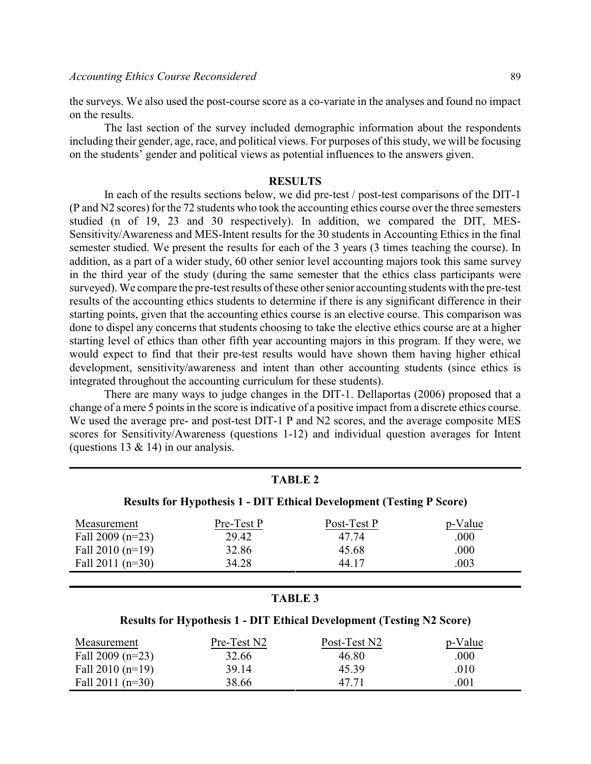the surveys. We also used the post-course score as a co-variate in the analyses and found no impact on the results.

The last section of the survey included demographic information about the respondents including their gender, age, race, and political views. For purposes of this study, we will be focusing on the students' gender and political views as potential influences to the answers given.

## **RESULTS**

In each of the results sections below, we did pre-test / post-test comparisons of the DIT-1 (P and N2 scores) for the 72 students who took the accounting ethics course over the three semesters studied (n of 19, 23 and 30 respectively). In addition, we compared the DIT, MES-Sensitivity/Awareness and MES-Intent results for the 30 students in Accounting Ethics in the final semester studied. We present the results for each of the 3 years (3 times teaching the course). In addition, as a part of a wider study, 60 other senior level accounting majors took this same survey in the third year of the study (during the same semester that the ethics class participants were surveyed). We compare the pre-test results of these other senior accounting students with the pre-test results of the accounting ethics students to determine if there is any significant difference in their starting points, given that the accounting ethics course is an elective course. This comparison was done to dispel any concerns that students choosing to take the elective ethics course are at a higher starting level of ethics than other fifth year accounting majors in this program. If they were, we would expect to find that their pre-test results would have shown them having higher ethical development, sensitivity/awareness and intent than other accounting students (since ethics is integrated throughout the accounting curriculum for these students).

There are many ways to judge changes in the DIT-1. Dellaportas (2006) proposed that a change of a mere 5 points in the score is indicative of a positive impact from a discrete ethics course. We used the average pre- and post-test DIT-1 P and N2 scores, and the average composite MES scores for Sensitivity/Awareness (questions 1-12) and individual question averages for Intent (questions  $13 \& 14$ ) in our analysis.

| <b>TABLE 2</b><br><b>Results for Hypothesis 1 - DIT Ethical Development (Testing P Score)</b> |             |              |         |  |
|-----------------------------------------------------------------------------------------------|-------------|--------------|---------|--|
|                                                                                               |             |              |         |  |
| Fall 2009 ( $n=23$ )                                                                          | 29.42       | 47.74        | .000    |  |
| Fall $2010(n=19)$                                                                             | 32.86       | 45.68        | .000    |  |
| Fall $2011$ (n=30)<br>34.28                                                                   |             | 44.17        | .003    |  |
|                                                                                               |             |              |         |  |
| <b>TABLE 3</b>                                                                                |             |              |         |  |
| <b>Results for Hypothesis 1 - DIT Ethical Development (Testing N2 Score)</b>                  |             |              |         |  |
| Measurement                                                                                   | Pre-Test N2 | Post-Test N2 | p-Value |  |
| Fall 2009 ( $n=23$ )                                                                          | 32.66       | 46.80        | .000    |  |
| Fall $2010(n=19)$                                                                             | 39.14       | 45.39        | .010    |  |

Fall 2011 (n=30)  $38.66$   $47.71$  .001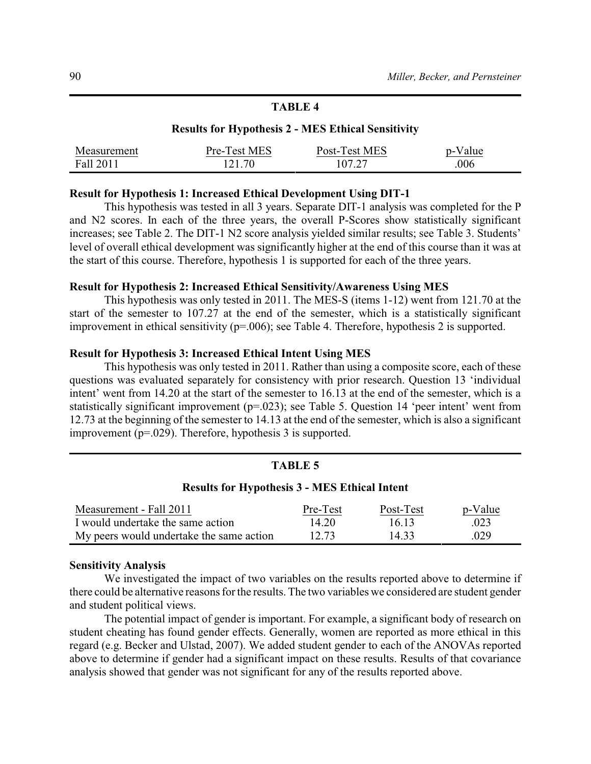# **TABLE 4**

## **Results for Hypothesis 2 - MES Ethical Sensitivity**

| Measurement | Pre-Test MES | Post-Test MES | alue<br>້າ- |
|-------------|--------------|---------------|-------------|
| Fall 2011   | 121.70       | 107.27        | .006        |

## **Result for Hypothesis 1: Increased Ethical Development Using DIT-1**

This hypothesis was tested in all 3 years. Separate DIT-1 analysis was completed for the P and N2 scores. In each of the three years, the overall P-Scores show statistically significant increases; see Table 2. The DIT-1 N2 score analysis yielded similar results; see Table 3. Students' level of overall ethical development was significantly higher at the end of this course than it was at the start of this course. Therefore, hypothesis 1 is supported for each of the three years.

## **Result for Hypothesis 2: Increased Ethical Sensitivity/Awareness Using MES**

This hypothesis was only tested in 2011. The MES-S (items 1-12) went from 121.70 at the start of the semester to 107.27 at the end of the semester, which is a statistically significant improvement in ethical sensitivity (p=.006); see Table 4. Therefore, hypothesis 2 is supported.

#### **Result for Hypothesis 3: Increased Ethical Intent Using MES**

This hypothesis was only tested in 2011. Rather than using a composite score, each of these questions was evaluated separately for consistency with prior research. Question 13 'individual intent' went from 14.20 at the start of the semester to 16.13 at the end of the semester, which is a statistically significant improvement (p=.023); see Table 5. Question 14 'peer intent' went from 12.73 at the beginning of the semester to 14.13 at the end of the semester, which is also a significant improvement (p=.029). Therefore, hypothesis 3 is supported.

#### **TABLE 5**

#### **Results for Hypothesis 3 - MES Ethical Intent**

| Measurement - Fall 2011                  | Pre-Test | Post-Test | p-Value |
|------------------------------------------|----------|-----------|---------|
| I would undertake the same action        | 14.20    | 16.13     | .023    |
| My peers would undertake the same action | 12.73    | 14.33     | .029    |

#### **Sensitivity Analysis**

We investigated the impact of two variables on the results reported above to determine if there could be alternative reasons for the results. The two variables we considered are student gender and student political views.

The potential impact of gender is important. For example, a significant body of research on student cheating has found gender effects. Generally, women are reported as more ethical in this regard (e.g. Becker and Ulstad, 2007). We added student gender to each of the ANOVAs reported above to determine if gender had a significant impact on these results. Results of that covariance analysis showed that gender was not significant for any of the results reported above.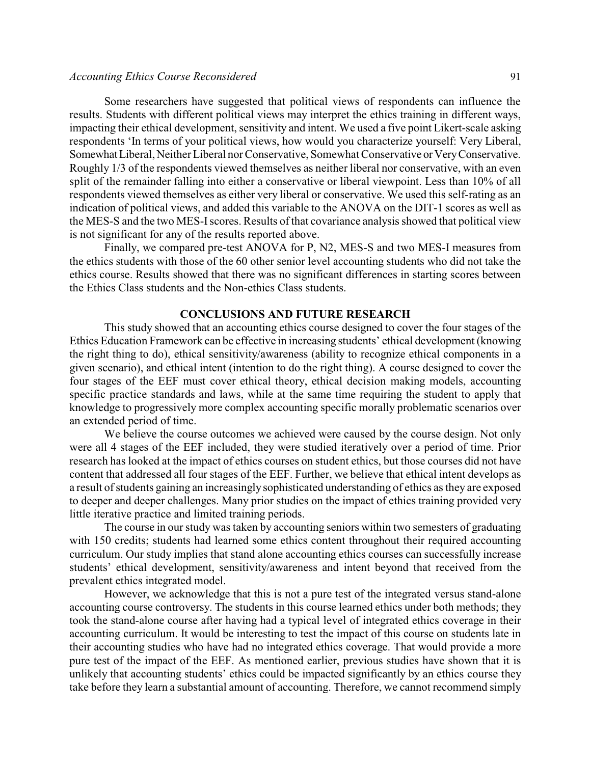#### *Accounting Ethics Course Reconsidered* 91

Some researchers have suggested that political views of respondents can influence the results. Students with different political views may interpret the ethics training in different ways, impacting their ethical development, sensitivity and intent. We used a five point Likert-scale asking respondents 'In terms of your political views, how would you characterize yourself: Very Liberal, Somewhat Liberal, Neither Liberal nor Conservative, Somewhat Conservative or Very Conservative. Roughly 1/3 of the respondents viewed themselves as neither liberal nor conservative, with an even split of the remainder falling into either a conservative or liberal viewpoint. Less than 10% of all respondents viewed themselves as either very liberal or conservative. We used this self-rating as an indication of political views, and added this variable to the ANOVA on the DIT-1 scores as well as the MES-S and the two MES-Iscores. Results of that covariance analysis showed that political view is not significant for any of the results reported above.

Finally, we compared pre-test ANOVA for P, N2, MES-S and two MES-I measures from the ethics students with those of the 60 other senior level accounting students who did not take the ethics course. Results showed that there was no significant differences in starting scores between the Ethics Class students and the Non-ethics Class students.

# **CONCLUSIONS AND FUTURE RESEARCH**

This study showed that an accounting ethics course designed to cover the four stages of the Ethics Education Framework can be effective in increasing students' ethical development (knowing the right thing to do), ethical sensitivity/awareness (ability to recognize ethical components in a given scenario), and ethical intent (intention to do the right thing). A course designed to cover the four stages of the EEF must cover ethical theory, ethical decision making models, accounting specific practice standards and laws, while at the same time requiring the student to apply that knowledge to progressively more complex accounting specific morally problematic scenarios over an extended period of time.

We believe the course outcomes we achieved were caused by the course design. Not only were all 4 stages of the EEF included, they were studied iteratively over a period of time. Prior research has looked at the impact of ethics courses on student ethics, but those courses did not have content that addressed all four stages of the EEF. Further, we believe that ethical intent develops as a result of students gaining an increasingly sophisticated understanding of ethics as they are exposed to deeper and deeper challenges. Many prior studies on the impact of ethics training provided very little iterative practice and limited training periods.

The course in our study was taken by accounting seniors within two semesters of graduating with 150 credits; students had learned some ethics content throughout their required accounting curriculum. Our study implies that stand alone accounting ethics courses can successfully increase students' ethical development, sensitivity/awareness and intent beyond that received from the prevalent ethics integrated model.

However, we acknowledge that this is not a pure test of the integrated versus stand-alone accounting course controversy. The students in this course learned ethics under both methods; they took the stand-alone course after having had a typical level of integrated ethics coverage in their accounting curriculum. It would be interesting to test the impact of this course on students late in their accounting studies who have had no integrated ethics coverage. That would provide a more pure test of the impact of the EEF. As mentioned earlier, previous studies have shown that it is unlikely that accounting students' ethics could be impacted significantly by an ethics course they take before they learn a substantial amount of accounting. Therefore, we cannot recommend simply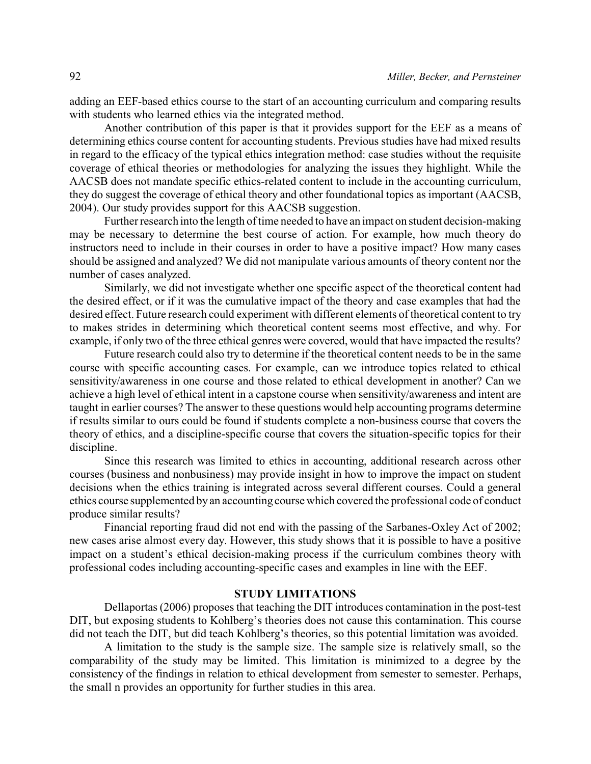adding an EEF-based ethics course to the start of an accounting curriculum and comparing results with students who learned ethics via the integrated method.

Another contribution of this paper is that it provides support for the EEF as a means of determining ethics course content for accounting students. Previous studies have had mixed results in regard to the efficacy of the typical ethics integration method: case studies without the requisite coverage of ethical theories or methodologies for analyzing the issues they highlight. While the AACSB does not mandate specific ethics-related content to include in the accounting curriculum, they do suggest the coverage of ethical theory and other foundational topics as important (AACSB, 2004). Our study provides support for this AACSB suggestion.

Further research into the length of time needed to have an impact on student decision-making may be necessary to determine the best course of action. For example, how much theory do instructors need to include in their courses in order to have a positive impact? How many cases should be assigned and analyzed? We did not manipulate various amounts of theory content nor the number of cases analyzed.

Similarly, we did not investigate whether one specific aspect of the theoretical content had the desired effect, or if it was the cumulative impact of the theory and case examples that had the desired effect. Future research could experiment with different elements of theoretical content to try to makes strides in determining which theoretical content seems most effective, and why. For example, if only two of the three ethical genres were covered, would that have impacted the results?

Future research could also try to determine if the theoretical content needs to be in the same course with specific accounting cases. For example, can we introduce topics related to ethical sensitivity/awareness in one course and those related to ethical development in another? Can we achieve a high level of ethical intent in a capstone course when sensitivity/awareness and intent are taught in earlier courses? The answer to these questions would help accounting programs determine if results similar to ours could be found if students complete a non-business course that covers the theory of ethics, and a discipline-specific course that covers the situation-specific topics for their discipline.

Since this research was limited to ethics in accounting, additional research across other courses (business and nonbusiness) may provide insight in how to improve the impact on student decisions when the ethics training is integrated across several different courses. Could a general ethics course supplemented by an accounting course which covered the professional code of conduct produce similar results?

Financial reporting fraud did not end with the passing of the Sarbanes-Oxley Act of 2002; new cases arise almost every day. However, this study shows that it is possible to have a positive impact on a student's ethical decision-making process if the curriculum combines theory with professional codes including accounting-specific cases and examples in line with the EEF.

#### **STUDY LIMITATIONS**

Dellaportas (2006) proposes that teaching the DIT introduces contamination in the post-test DIT, but exposing students to Kohlberg's theories does not cause this contamination. This course did not teach the DIT, but did teach Kohlberg's theories, so this potential limitation was avoided.

A limitation to the study is the sample size. The sample size is relatively small, so the comparability of the study may be limited. This limitation is minimized to a degree by the consistency of the findings in relation to ethical development from semester to semester. Perhaps, the small n provides an opportunity for further studies in this area.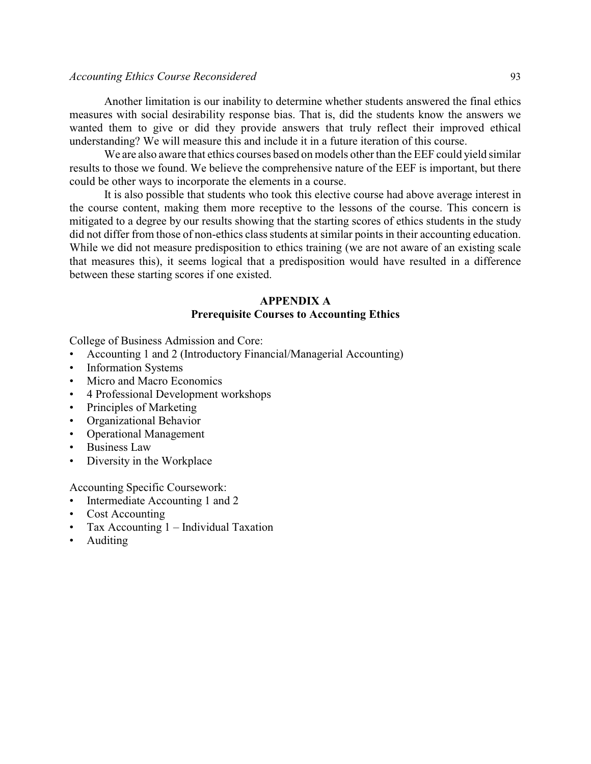## *Accounting Ethics Course Reconsidered* 93

Another limitation is our inability to determine whether students answered the final ethics measures with social desirability response bias. That is, did the students know the answers we wanted them to give or did they provide answers that truly reflect their improved ethical understanding? We will measure this and include it in a future iteration of this course.

We are also aware that ethics courses based on models other than the EEF could yield similar results to those we found. We believe the comprehensive nature of the EEF is important, but there could be other ways to incorporate the elements in a course.

It is also possible that students who took this elective course had above average interest in the course content, making them more receptive to the lessons of the course. This concern is mitigated to a degree by our results showing that the starting scores of ethics students in the study did not differ from those of non-ethics class students at similar points in their accounting education. While we did not measure predisposition to ethics training (we are not aware of an existing scale that measures this), it seems logical that a predisposition would have resulted in a difference between these starting scores if one existed.

# **APPENDIX A Prerequisite Courses to Accounting Ethics**

College of Business Admission and Core:

- Accounting 1 and 2 (Introductory Financial/Managerial Accounting)
- Information Systems
- Micro and Macro Economics
- 4 Professional Development workshops
- Principles of Marketing
- Organizational Behavior
- Operational Management
- Business Law
- Diversity in the Workplace

Accounting Specific Coursework:

- Intermediate Accounting 1 and 2
- Cost Accounting
- Tax Accounting 1 Individual Taxation
- Auditing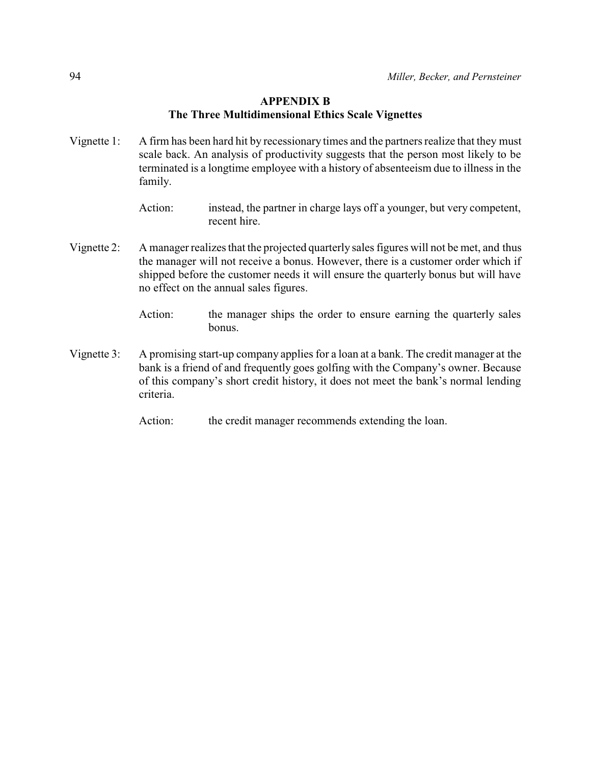# **APPENDIX B The Three Multidimensional Ethics Scale Vignettes**

Vignette 1: A firm has been hard hit by recessionary times and the partners realize that they must scale back. An analysis of productivity suggests that the person most likely to be terminated is a longtime employee with a history of absenteeism due to illness in the family.

- Vignette 2: A manager realizes that the projected quarterly sales figures will not be met, and thus the manager will not receive a bonus. However, there is a customer order which if shipped before the customer needs it will ensure the quarterly bonus but will have no effect on the annual sales figures.
	- Action: the manager ships the order to ensure earning the quarterly sales bonus.
- Vignette 3: A promising start-up company applies for a loan at a bank. The credit manager at the bank is a friend of and frequently goes golfing with the Company's owner. Because of this company's short credit history, it does not meet the bank's normal lending criteria.
	- Action: the credit manager recommends extending the loan.

Action: instead, the partner in charge lays off a younger, but very competent, recent hire.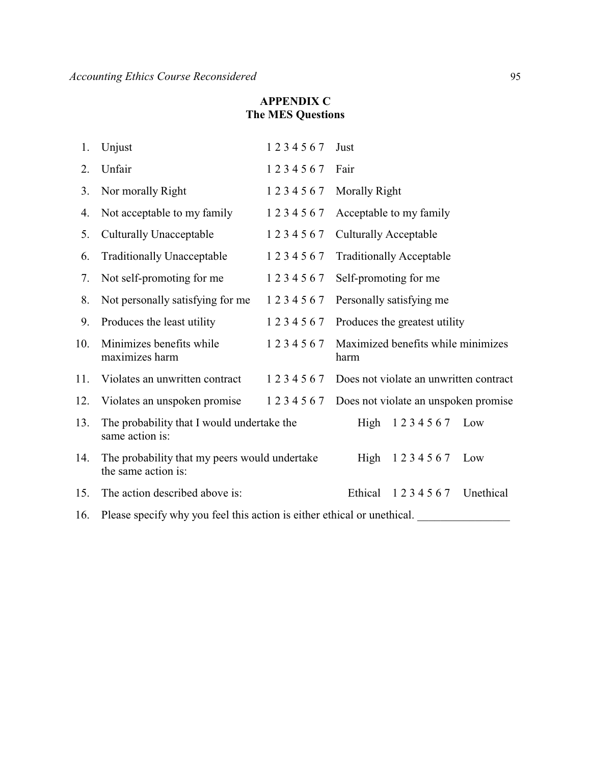# **APPENDIX C The MES Questions**

| 1.  | Unjust                                                                  | 1234567 | Just                                       |                 |           |
|-----|-------------------------------------------------------------------------|---------|--------------------------------------------|-----------------|-----------|
| 2.  | Unfair                                                                  | 1234567 | Fair                                       |                 |           |
| 3.  | Nor morally Right                                                       | 1234567 | <b>Morally Right</b>                       |                 |           |
| 4.  | Not acceptable to my family                                             | 1234567 | Acceptable to my family                    |                 |           |
| 5.  | <b>Culturally Unacceptable</b>                                          | 1234567 | <b>Culturally Acceptable</b>               |                 |           |
| 6.  | <b>Traditionally Unacceptable</b>                                       | 1234567 | <b>Traditionally Acceptable</b>            |                 |           |
| 7.  | Not self-promoting for me                                               | 1234567 | Self-promoting for me                      |                 |           |
| 8.  | Not personally satisfying for me                                        | 1234567 | Personally satisfying me                   |                 |           |
| 9.  | Produces the least utility                                              | 1234567 | Produces the greatest utility              |                 |           |
| 10. | Minimizes benefits while<br>maximizes harm                              | 1234567 | Maximized benefits while minimizes<br>harm |                 |           |
| 11. | Violates an unwritten contract                                          | 1234567 | Does not violate an unwritten contract     |                 |           |
| 12. | Violates an unspoken promise                                            | 1234567 | Does not violate an unspoken promise       |                 |           |
| 13. | The probability that I would undertake the<br>same action is:           |         | High                                       | 1234567         | Low       |
| 14. | The probability that my peers would undertake<br>the same action is:    |         |                                            | High 1234567    | Low       |
| 15. | The action described above is:                                          |         |                                            | Ethical 1234567 | Unethical |
| 16. | Please specify why you feel this action is either ethical or unethical. |         |                                            |                 |           |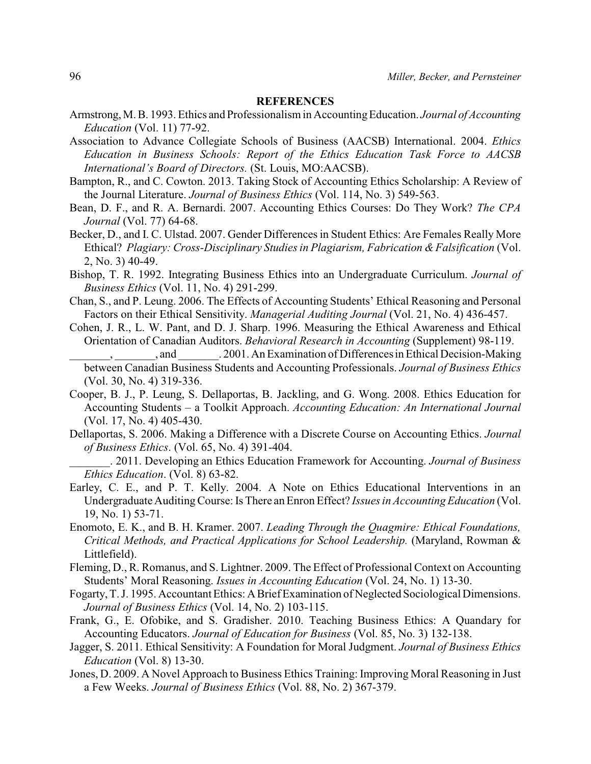#### **REFERENCES**

- Armstrong, M. B. 1993. Ethics and Professionalism in Accounting Education. *Journal of Accounting Education* (Vol. 11) 77-92.
- Association to Advance Collegiate Schools of Business (AACSB) International. 2004. *Ethics Education in Business Schools: Report of the Ethics Education Task Force to AACSB International's Board of Directors.* (St. Louis, MO:AACSB).
- Bampton, R., and C. Cowton. 2013. Taking Stock of Accounting Ethics Scholarship: A Review of the Journal Literature. *Journal of Business Ethics* (Vol. 114, No. 3) 549-563.
- Bean, D. F., and R. A. Bernardi. 2007. Accounting Ethics Courses: Do They Work? *The CPA Journal* (Vol. 77) 64-68.
- Becker, D., and I. C. Ulstad. 2007. Gender Differences in Student Ethics: Are Females Really More Ethical? *Plagiary: Cross-Disciplinary Studies in Plagiarism, Fabrication &Falsification* (Vol. 2, No. 3) 40-49.
- Bishop, T. R. 1992. Integrating Business Ethics into an Undergraduate Curriculum. *Journal of Business Ethics* (Vol. 11, No. 4) 291-299.
- Chan, S., and P. Leung. 2006. The Effects of Accounting Students' Ethical Reasoning and Personal Factors on their Ethical Sensitivity. *Managerial Auditing Journal* (Vol. 21, No. 4) 436-457.
- Cohen, J. R., L. W. Pant, and D. J. Sharp. 1996. Measuring the Ethical Awareness and Ethical Orientation of Canadian Auditors. *Behavioral Research in Accounting* (Supplement) 98-119. \_\_\_\_\_\_\_, \_\_\_\_\_\_\_, and \_\_\_\_\_\_\_. 2001. An Examination of Differences in Ethical Decision-Making
	- between Canadian Business Students and Accounting Professionals. *Journal of Business Ethics* (Vol. 30, No. 4) 319-336.
- Cooper, B. J., P. Leung, S. Dellaportas, B. Jackling, and G. Wong. 2008. Ethics Education for Accounting Students – a Toolkit Approach. *Accounting Education: An International Journal* (Vol. 17, No. 4) 405-430.
- Dellaportas, S. 2006. Making a Difference with a Discrete Course on Accounting Ethics. *Journal of Business Ethics*. (Vol. 65, No. 4) 391-404.
- \_\_\_\_\_\_\_. 2011. Developing an Ethics Education Framework for Accounting. *Journal of Business Ethics Education*. (Vol. 8) 63-82.
- Earley, C. E., and P. T. Kelly. 2004. A Note on Ethics Educational Interventions in an Undergraduate AuditingCourse: Is There an Enron Effect? *Issues in Accounting Education* (Vol. 19, No. 1) 53-71.
- Enomoto, E. K., and B. H. Kramer. 2007. *Leading Through the Quagmire: Ethical Foundations, Critical Methods, and Practical Applications for School Leadership.* (Maryland, Rowman & Littlefield).
- Fleming, D., R. Romanus, and S. Lightner. 2009. The Effect of Professional Context on Accounting Students' Moral Reasoning. *Issues in Accounting Education* (Vol. 24, No. 1) 13-30.
- Fogarty, T. J. 1995. Accountant Ethics: ABrief Examination of Neglected Sociological Dimensions. *Journal of Business Ethics* (Vol. 14, No. 2) 103-115.
- Frank, G., E. Ofobike, and S. Gradisher. 2010. Teaching Business Ethics: A Quandary for Accounting Educators. *Journal of Education for Business* (Vol. 85, No. 3) 132-138.
- Jagger, S. 2011. Ethical Sensitivity: A Foundation for Moral Judgment. *Journal of Business Ethics Education* (Vol. 8) 13-30.
- Jones, D. 2009. A Novel Approach to Business Ethics Training: Improving Moral Reasoning in Just a Few Weeks. *Journal of Business Ethics* (Vol. 88, No. 2) 367-379.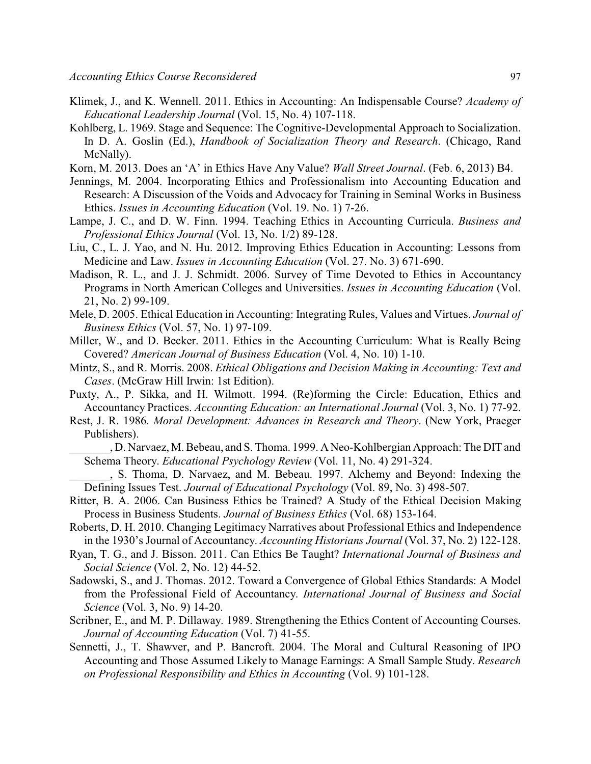- Klimek, J., and K. Wennell. 2011. Ethics in Accounting: An Indispensable Course? *Academy of Educational Leadership Journal* (Vol. 15, No. 4) 107-118.
- Kohlberg, L. 1969. Stage and Sequence: The Cognitive-Developmental Approach to Socialization. In D. A. Goslin (Ed.), *Handbook of Socialization Theory and Research*. (Chicago, Rand McNally).
- Korn, M. 2013. Does an 'A' in Ethics Have Any Value? *Wall Street Journal*. (Feb. 6, 2013) B4.
- Jennings, M. 2004. Incorporating Ethics and Professionalism into Accounting Education and Research: A Discussion of the Voids and Advocacy for Training in Seminal Works in Business Ethics. *Issues in Accounting Education* (Vol. 19. No. 1) 7-26.
- Lampe, J. C., and D. W. Finn. 1994. Teaching Ethics in Accounting Curricula. *Business and Professional Ethics Journal* (Vol. 13, No. 1/2) 89-128.
- Liu, C., L. J. Yao, and N. Hu. 2012. Improving Ethics Education in Accounting: Lessons from Medicine and Law. *Issues in Accounting Education* (Vol. 27. No. 3) 671-690.
- Madison, R. L., and J. J. Schmidt. 2006. Survey of Time Devoted to Ethics in Accountancy Programs in North American Colleges and Universities. *Issues in Accounting Education* (Vol. 21, No. 2) 99-109.
- Mele, D. 2005. Ethical Education in Accounting: Integrating Rules, Values and Virtues. *Journal of Business Ethics* (Vol. 57, No. 1) 97-109.
- Miller, W., and D. Becker. 2011. Ethics in the Accounting Curriculum: What is Really Being Covered? *American Journal of Business Education* (Vol. 4, No. 10) 1-10.
- Mintz, S., and R. Morris. 2008. *Ethical Obligations and Decision Making in Accounting: Text and Cases*. (McGraw Hill Irwin: 1st Edition).
- Puxty, A., P. Sikka, and H. Wilmott. 1994. (Re)forming the Circle: Education, Ethics and Accountancy Practices. *Accounting Education: an International Journal* (Vol. 3, No. 1) 77-92.
- Rest, J. R. 1986. *Moral Development: Advances in Research and Theory*. (New York, Praeger Publishers).
	- \_\_\_\_\_\_\_, D. Narvaez, M. Bebeau, and S. Thoma. 1999. A Neo-Kohlbergian Approach: The DIT and Schema Theory. *Educational Psychology Review* (Vol. 11, No. 4) 291-324.
- \_\_\_\_\_\_\_, S. Thoma, D. Narvaez, and M. Bebeau. 1997. Alchemy and Beyond: Indexing the Defining Issues Test. *Journal of Educational Psychology* (Vol. 89, No. 3) 498-507.
- Ritter, B. A. 2006. Can Business Ethics be Trained? A Study of the Ethical Decision Making Process in Business Students. *Journal of Business Ethics* (Vol. 68) 153-164.
- Roberts, D. H. 2010. Changing Legitimacy Narratives about Professional Ethics and Independence in the 1930's Journal of Accountancy. *Accounting Historians Journal* (Vol. 37, No. 2) 122-128.
- Ryan, T. G., and J. Bisson. 2011. Can Ethics Be Taught? *International Journal of Business and Social Science* (Vol. 2, No. 12) 44-52.
- Sadowski, S., and J. Thomas. 2012. Toward a Convergence of Global Ethics Standards: A Model from the Professional Field of Accountancy. *International Journal of Business and Social Science* (Vol. 3, No. 9) 14-20.
- Scribner, E., and M. P. Dillaway. 1989. Strengthening the Ethics Content of Accounting Courses. *Journal of Accounting Education* (Vol. 7) 41-55.
- Sennetti, J., T. Shawver, and P. Bancroft. 2004. The Moral and Cultural Reasoning of IPO Accounting and Those Assumed Likely to Manage Earnings: A Small Sample Study. *Research on Professional Responsibility and Ethics in Accounting* (Vol. 9) 101-128.